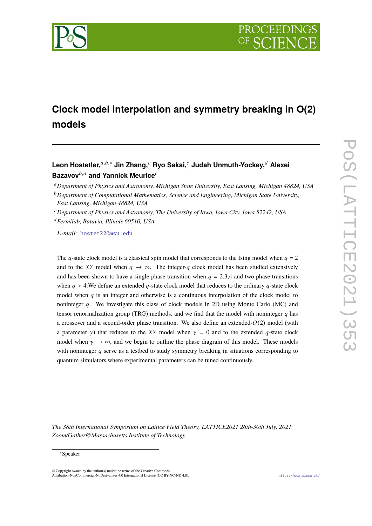

# **Clock model interpolation and symmetry breaking in O(2) models**

## **Leon Hostetler,**𝑎,𝑏,<sup>∗</sup> **Jin Zhang,**<sup>𝑐</sup> **Ryo Sakai,**<sup>𝑐</sup> **Judah Unmuth-Yockey,**<sup>𝑑</sup> **Alexei Bazavov**<sup>b,a</sup> and Yannick Meurice<sup>c</sup>

<sup>𝑎</sup>*Department of Physics and Astronomy, Michigan State University, East Lansing, Michigan 48824, USA*

<sup>𝑑</sup>*Fermilab, Batavia, Illinois 60510, USA*

*E-mail:* [hostet22@msu.edu](mailto:hostet22@msu.edu)

The q-state clock model is a classical spin model that corresponds to the Ising model when  $q = 2$ and to the XY model when  $q \to \infty$ . The integer-q clock model has been studied extensively and has been shown to have a single phase transition when  $q = 2,3,4$  and two phase transitions when  $q > 4$ . We define an extended q-state clock model that reduces to the ordinary q-state clock model when  $q$  is an integer and otherwise is a continuous interpolation of the clock model to noninteger  $q$ . We investigate this class of clock models in 2D using Monte Carlo (MC) and tensor renormalization group (TRG) methods, and we find that the model with noninteger  $q$  has a crossover and a second-order phase transition. We also define an extended- $O(2)$  model (with a parameter  $\gamma$ ) that reduces to the XY model when  $\gamma = 0$  and to the extended q-state clock model when  $\gamma \to \infty$ , and we begin to outline the phase diagram of this model. These models with noninteger  $q$  serve as a testbed to study symmetry breaking in situations corresponding to quantum simulators where experimental parameters can be tuned continuously.

*The 38th International Symposium on Lattice Field Theory, LATTICE2021 26th-30th July, 2021 Zoom/Gather@Massachusetts Institute of Technology*

© Copyright owned by the author(s) under the terms of the Creative Commons Attribution-NonCommercial-NoDerivatives 4.0 International License (CC BY-NC-ND 4.0). <https://pos.sissa.it/>

<sup>&</sup>lt;sup>*b*</sup> Department of Computational Mathematics, Science and Engineering, Michigan State University, *East Lansing, Michigan 48824, USA*

<sup>𝑐</sup>*Department of Physics and Astronomy, The University of Iowa, Iowa City, Iowa 52242, USA*

<sup>∗</sup>Speaker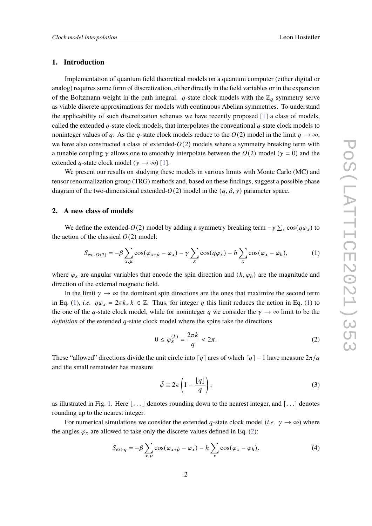## **1. Introduction**

Implementation of quantum field theoretical models on a quantum computer (either digital or analog) requires some form of discretization, either directly in the field variables or in the expansion of the Boltzmann weight in the path integral. *q*-state clock models with the  $\mathbb{Z}_q$  symmetry serve as viable discrete approximations for models with continuous Abelian symmetries. To understand the applicability of such discretization schemes we have recently proposed [\[1\]](#page-8-0) a class of models, called the extended  $q$ -state clock models, that interpolates the conventional  $q$ -state clock models to noninteger values of q. As the q-state clock models reduce to the  $O(2)$  model in the limit  $q \to \infty$ , we have also constructed a class of extended- $O(2)$  models where a symmetry breaking term with a tunable coupling  $\gamma$  allows one to smoothly interpolate between the  $O(2)$  model ( $\gamma = 0$ ) and the extended q-state clock model ( $\gamma \rightarrow \infty$ ) [\[1\]](#page-8-0).

We present our results on studying these models in various limits with Monte Carlo (MC) and tensor renormalization group (TRG) methods and, based on these findings, suggest a possible phase diagram of the two-dimensional extended- $O(2)$  model in the  $(q, \beta, \gamma)$  parameter space.

## **2. A new class of models**

We define the extended- $O(2)$  model by adding a symmetry breaking term  $-\gamma \sum_{x} \cos(q\varphi_x)$  to the action of the classical  $O(2)$  model:

<span id="page-1-0"></span>
$$
S_{\text{ext-}O(2)} = -\beta \sum_{x,\mu} \cos(\varphi_{x+\hat{\mu}} - \varphi_x) - \gamma \sum_x \cos(q\varphi_x) - h \sum_x \cos(\varphi_x - \varphi_h), \tag{1}
$$

where  $\varphi_x$  are angular variables that encode the spin direction and  $(h, \varphi_h)$  are the magnitude and direction of the external magnetic field.

In the limit  $\gamma \rightarrow \infty$  the dominant spin directions are the ones that maximize the second term in Eq. [\(1\)](#page-1-0), *i.e.*  $q\varphi_x = 2\pi k$ ,  $k \in \mathbb{Z}$ . Thus, for integer q this limit reduces the action in Eq. (1) to the one of the q-state clock model, while for noninteger q we consider the  $\gamma \to \infty$  limit to be the *definition* of the extended  $q$ -state clock model where the spins take the directions

<span id="page-1-1"></span>
$$
0 \le \varphi_x^{(k)} = \frac{2\pi k}{q} < 2\pi. \tag{2}
$$

These "allowed" directions divide the unit circle into  $\lceil q \rceil$  arcs of which  $\lceil q \rceil - 1$  have measure  $2\pi/q$ and the small remainder has measure

<span id="page-1-3"></span>
$$
\tilde{\phi} \equiv 2\pi \left( 1 - \frac{\lfloor q \rfloor}{q} \right),\tag{3}
$$

as illustrated in Fig. [1.](#page-2-0) Here  $\vert \ldots \vert$  denotes rounding down to the nearest integer, and  $\vert \ldots \vert$  denotes rounding up to the nearest integer.

For numerical simulations we consider the extended q-state clock model (*i.e.*  $\gamma \to \infty$ ) where the angles  $\varphi_x$  are allowed to take only the discrete values defined in Eq. [\(2\)](#page-1-1):

<span id="page-1-2"></span>
$$
S_{\text{ext-}q} = -\beta \sum_{x,\mu} \cos(\varphi_{x+\hat{\mu}} - \varphi_x) - h \sum_x \cos(\varphi_x - \varphi_h). \tag{4}
$$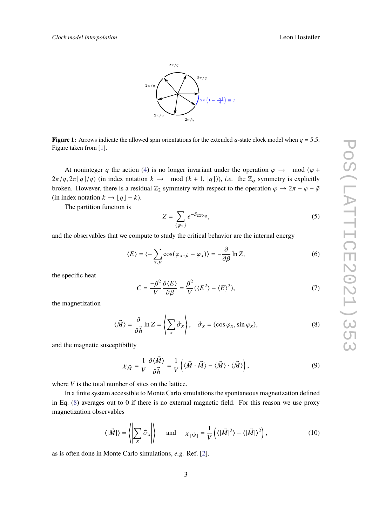

<span id="page-2-0"></span>**Figure 1:** Arrows indicate the allowed spin orientations for the extended q-state clock model when  $q = 5.5$ . Figure taken from [\[1\]](#page-8-0).

At noninteger q the action [\(4\)](#page-1-2) is no longer invariant under the operation  $\varphi \to \mod(\varphi + \varphi)$  $2\pi/q$ ,  $2\pi\lfloor q\rfloor/q$ ) (in index notation  $k \to \mod(k+1, \lfloor q\rfloor)$ ), *i.e.* the  $\mathbb{Z}_q$  symmetry is explicitly broken. However, there is a residual  $\mathbb{Z}_2$  symmetry with respect to the operation  $\varphi \to 2\pi - \varphi - \tilde{\varphi}$ (in index notation  $k \to \lfloor q \rfloor - k$ ).

The partition function is

$$
Z = \sum_{\{\varphi_x\}} e^{-S_{\text{ext}-q}},\tag{5}
$$

and the observables that we compute to study the critical behavior are the internal energy

<span id="page-2-2"></span>
$$
\langle E \rangle = \langle -\sum_{x,\mu} \cos(\varphi_{x+\hat{\mu}} - \varphi_x) \rangle = -\frac{\partial}{\partial \beta} \ln Z,\tag{6}
$$

the specific heat

<span id="page-2-3"></span>
$$
C = \frac{-\beta^2}{V} \frac{\partial \langle E \rangle}{\partial \beta} = \frac{\beta^2}{V} (\langle E^2 \rangle - \langle E \rangle^2),\tag{7}
$$

the magnetization

<span id="page-2-1"></span>
$$
\langle \vec{M} \rangle = \frac{\partial}{\partial \vec{h}} \ln Z = \left\langle \sum_{x} \vec{\sigma}_x \right\rangle, \quad \vec{\sigma}_x = (\cos \varphi_x, \sin \varphi_x), \tag{8}
$$

and the magnetic susceptibility

$$
\chi_{\vec{M}} = \frac{1}{V} \frac{\partial \langle \vec{M} \rangle}{\partial \vec{h}} = \frac{1}{V} \left( \langle \vec{M} \cdot \vec{M} \rangle - \langle \vec{M} \rangle \cdot \langle \vec{M} \rangle \right),\tag{9}
$$

where  $V$  is the total number of sites on the lattice.

In a finite system accessible to Monte Carlo simulations the spontaneous magnetization defined in Eq. [\(8\)](#page-2-1) averages out to 0 if there is no external magnetic field. For this reason we use proxy magnetization observables

<span id="page-2-4"></span>
$$
\langle |\vec{M}| \rangle = \left\langle \left| \sum_{x} \vec{\sigma}_{x} \right| \right\rangle \quad \text{and} \quad \chi_{|\vec{M}|} = \frac{1}{V} \left( \langle |\vec{M}|^{2} \rangle - \langle |\vec{M}| \rangle^{2} \right), \tag{10}
$$

as is often done in Monte Carlo simulations, *e.g.* Ref. [\[2\]](#page-8-1).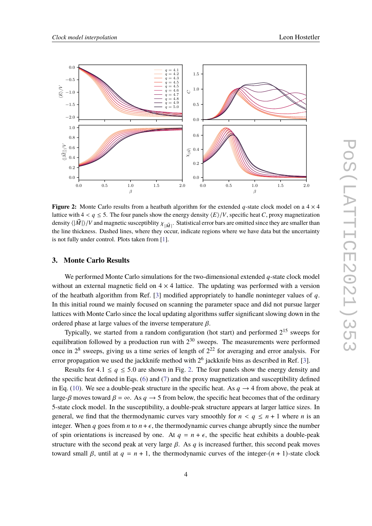<span id="page-3-0"></span>

**Figure 2:** Monte Carlo results from a heatbath algorithm for the extended q-state clock model on a  $4 \times 4$ lattice with  $4 < q \leq 5$ . The four panels show the energy density  $\langle E \rangle/V$ , specific heat C, proxy magnetization density  $\langle|\vec{M}|\rangle/V$  and magnetic susceptiblity  $\chi_{|\vec{M}|}$  . Statistical error bars are omitted since they are smaller than the line thickness. Dashed lines, where they occur, indicate regions where we have data but the uncertainty is not fully under control. Plots taken from [\[1\]](#page-8-0).

#### **3. Monte Carlo Results**

We performed Monte Carlo simulations for the two-dimensional extended  $q$ -state clock model without an external magnetic field on  $4 \times 4$  lattice. The updating was performed with a version of the heatbath algorithm from Ref. [\[3\]](#page-8-2) modified appropriately to handle noninteger values of  $q$ . In this initial round we mainly focused on scanning the parameter space and did not pursue larger lattices with Monte Carlo since the local updating algorithms suffer significant slowing down in the ordered phase at large values of the inverse temperature  $\beta$ .

Typically, we started from a random configuration (hot start) and performed  $2^{15}$  sweeps for equilibration followed by a production run with  $2^{30}$  sweeps. The measurements were performed once in  $2^8$  sweeps, giving us a time series of length of  $2^{22}$  for averaging and error analysis. For error propagation we used the jackknife method with  $2^6$  jackknife bins as described in Ref. [\[3\]](#page-8-2).

Results for  $4.1 \le q \le 5.0$  are shown in Fig. [2.](#page-3-0) The four panels show the energy density and the specific heat defined in Eqs. [\(6\)](#page-2-2) and [\(7\)](#page-2-3) and the proxy magnetization and susceptibility defined in Eq. [\(10\)](#page-2-4). We see a double-peak structure in the specific heat. As  $q \rightarrow 4$  from above, the peak at large- $\beta$  moves toward  $\beta = \infty$ . As  $q \rightarrow 5$  from below, the specific heat becomes that of the ordinary 5-state clock model. In the susceptibility, a double-peak structure appears at larger lattice sizes. In general, we find that the thermodynamic curves vary smoothly for  $n < q \le n + 1$  where *n* is an integer. When q goes from  $n \times n + \epsilon$ , the thermodynamic curves change abruptly since the number of spin orientations is increased by one. At  $q = n + \epsilon$ , the specific heat exhibits a double-peak structure with the second peak at very large  $\beta$ . As q is increased further, this second peak moves toward small  $\beta$ , until at  $q = n + 1$ , the thermodynamic curves of the integer- $(n + 1)$ -state clock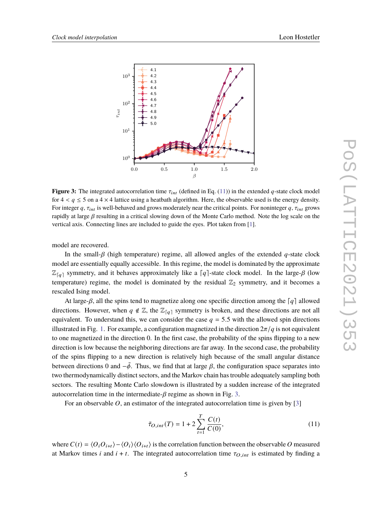<span id="page-4-1"></span>

**Figure 3:** The integrated autocorrelation time  $\tau_{int}$  (defined in Eq. [\(11\)](#page-4-0)) in the extended q-state clock model for  $4 < q \le 5$  on a  $4 \times 4$  lattice using a heatbath algorithm. Here, the observable used is the energy density. For integer  $q$ ,  $\tau_{int}$  is well-behaved and grows moderately near the critical points. For noninteger  $q$ ,  $\tau_{int}$  grows rapidly at large  $\beta$  resulting in a critical slowing down of the Monte Carlo method. Note the log scale on the vertical axis. Connecting lines are included to guide the eyes. Plot taken from [\[1\]](#page-8-0).

model are recovered.

In the small- $\beta$  (high temperature) regime, all allowed angles of the extended q-state clock model are essentially equally accessible. In this regime, the model is dominated by the approximate  $\mathbb{Z}_{\lceil q \rceil}$  symmetry, and it behaves approximately like a  $\lceil q \rceil$ -state clock model. In the large- $\beta$  (low temperature) regime, the model is dominated by the residual  $\mathbb{Z}_2$  symmetry, and it becomes a rescaled Ising model.

At large- $\beta$ , all the spins tend to magnetize along one specific direction among the  $\lceil q \rceil$  allowed directions. However, when  $q \notin \mathbb{Z}$ , the  $\mathbb{Z}_{\lceil q \rceil}$  symmetry is broken, and these directions are not all equivalent. To understand this, we can consider the case  $q = 5.5$  with the allowed spin directions illustrated in Fig. [1.](#page-2-0) For example, a configuration magnetized in the direction  $2\pi/q$  is not equivalent to one magnetized in the direction 0. In the first case, the probability of the spins flipping to a new direction is low because the neighboring directions are far away. In the second case, the probability of the spins flipping to a new direction is relatively high because of the small angular distance between directions 0 and  $-\tilde{\phi}$ . Thus, we find that at large  $\beta$ , the configuration space separates into two thermodynamically distinct sectors, and the Markov chain has trouble adequately sampling both sectors. The resulting Monte Carlo slowdown is illustrated by a sudden increase of the integrated autocorrelation time in the intermediate- $\beta$  regime as shown in Fig. [3.](#page-4-1)

For an observable  $O$ , an estimator of the integrated autocorrelation time is given by [\[3\]](#page-8-2)

<span id="page-4-0"></span>
$$
\tilde{\tau}_{O,int}(T) = 1 + 2 \sum_{t=1}^{T} \frac{C(t)}{C(0)},
$$
\n(11)

where  $C(t) = \langle O_i O_{i+t} \rangle - \langle O_i \rangle \langle O_{i+t} \rangle$  is the correlation function between the observable O measured at Markov times *i* and  $i + t$ . The integrated autocorrelation time  $\tau_{O, int}$  is estimated by finding a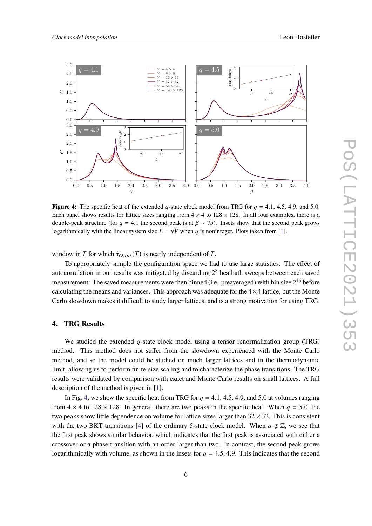<span id="page-5-0"></span>

**Figure 4:** The specific heat of the extended q-state clock model from TRG for  $q = 4.1, 4.5, 4.9,$  and 5.0. Each panel shows results for lattice sizes ranging from  $4 \times 4$  to  $128 \times 128$ . In all four examples, there is a double-peak structure (for  $q = 4.1$  the second peak is at  $\beta \sim 75$ ). Insets show that the second peak grows logarithmically with the linear system size  $L = \sqrt{V}$  when q is noninteger. Plots taken from [\[1\]](#page-8-0).

window in T for which  $\tilde{\tau}_{O, int}(T)$  is nearly independent of T.

To appropriately sample the configuration space we had to use large statistics. The effect of autocorrelation in our results was mitigated by discarding  $2<sup>8</sup>$  heatbath sweeps between each saved measurement. The saved measurements were then binned (i.e. preaveraged) with bin size  $2^{16}$  before calculating the means and variances. This approach was adequate for the  $4 \times 4$  lattice, but the Monte Carlo slowdown makes it difficult to study larger lattices, and is a strong motivation for using TRG.

## **4. TRG Results**

We studied the extended  $q$ -state clock model using a tensor renormalization group (TRG) method. This method does not suffer from the slowdown experienced with the Monte Carlo method, and so the model could be studied on much larger lattices and in the thermodynamic limit, allowing us to perform finite-size scaling and to characterize the phase transitions. The TRG results were validated by comparison with exact and Monte Carlo results on small lattices. A full description of the method is given in [\[1\]](#page-8-0).

In Fig. [4,](#page-5-0) we show the specific heat from TRG for  $q = 4.1, 4.5, 4.9,$  and 5.0 at volumes ranging from  $4 \times 4$  to  $128 \times 128$ . In general, there are two peaks in the specific heat. When  $q = 5.0$ , the two peaks show little dependence on volume for lattice sizes larger than  $32 \times 32$ . This is consistent with the two BKT transitions [\[4\]](#page-8-3) of the ordinary 5-state clock model. When  $q \notin \mathbb{Z}$ , we see that the first peak shows similar behavior, which indicates that the first peak is associated with either a crossover or a phase transition with an order larger than two. In contrast, the second peak grows logarithmically with volume, as shown in the insets for  $q = 4.5, 4.9$ . This indicates that the second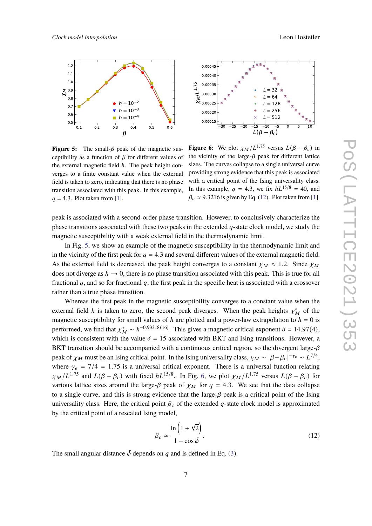<span id="page-6-1"></span>



**Figure 5:** The small- $\beta$  peak of the magnetic susceptibility as a function of  $\beta$  for different values of the external magnetic field  $h$ . The peak height converges to a finite constant value when the external field is taken to zero, indicating that there is no phase transition associated with this peak. In this example,  $q = 4.3$ . Plot taken from [\[1\]](#page-8-0).

**Figure 6:** We plot  $\chi_M/L^{1.75}$  versus  $L(\beta - \beta_c)$  in the vicinity of the large- $\beta$  peak for different lattice sizes. The curves collapse to a single universal curve providing strong evidence that this peak is associated with a critical point of the Ising universality class. In this example,  $q = 4.3$ , we fix  $hL^{15/8} = 40$ , and  $\beta_c \approx 9.3216$  is given by Eq. [\(12\)](#page-6-0). Plot taken from [\[1\]](#page-8-0).

peak is associated with a second-order phase transition. However, to conclusively characterize the phase transitions associated with these two peaks in the extended  $q$ -state clock model, we study the magnetic susceptibility with a weak external field in the thermodynamic limit.

In Fig. [5,](#page-6-1) we show an example of the magnetic susceptibility in the thermodynamic limit and in the vicinity of the first peak for  $q = 4.3$  and several different values of the external magnetic field. As the external field is decreased, the peak height converges to a constant  $\chi_M \approx 1.2$ . Since  $\chi_M$ does not diverge as  $h \to 0$ , there is no phase transition associated with this peak. This is true for all fractional  $q$ , and so for fractional  $q$ , the first peak in the specific heat is associated with a crossover rather than a true phase transition.

Whereas the first peak in the magnetic susceptibility converges to a constant value when the external field h is taken to zero, the second peak diverges. When the peak heights  $\chi_M^*$  of the magnetic susceptibility for small values of h are plotted and a power-law extrapolation to  $h = 0$  is performed, we find that  $\chi^*_{\mathbf{M}} \sim h^{-0.93318(16)}$ . This gives a magnetic critical exponent  $\delta = 14.97(4)$ , which is consistent with the value  $\delta = 15$  associated with BKT and Ising transitions. However, a BKT transition should be accompanied with a continuous critical region, so the divergent large- $\beta$ peak of  $\chi_M$  must be an Ising critical point. In the Ising universality class,  $\chi_M \sim |\beta - \beta_c|^{-\gamma_e} \sim L^{7/4}$ , where  $\gamma_e = 7/4 = 1.75$  is a universal critical exponent. There is a universal function relating  $\chi_M/L^{1.75}$  and  $L(\beta - \beta_c)$  with fixed  $hL^{15/8}$ . In Fig. [6,](#page-6-1) we plot  $\chi_M/L^{1.75}$  versus  $L(\beta - \beta_c)$  for various lattice sizes around the large- $\beta$  peak of  $\chi_M$  for  $q = 4.3$ . We see that the data collapse to a single curve, and this is strong evidence that the large- $\beta$  peak is a critical point of the Ising universality class. Here, the critical point  $\beta_c$  of the extended q-state clock model is approximated by the critical point of a rescaled Ising model,

<span id="page-6-0"></span>
$$
\beta_c \simeq \frac{\ln\left(1+\sqrt{2}\right)}{1-\cos\tilde{\phi}}.\tag{12}
$$

The small angular distance  $\tilde{\phi}$  depends on q and is defined in Eq. [\(3\)](#page-1-3).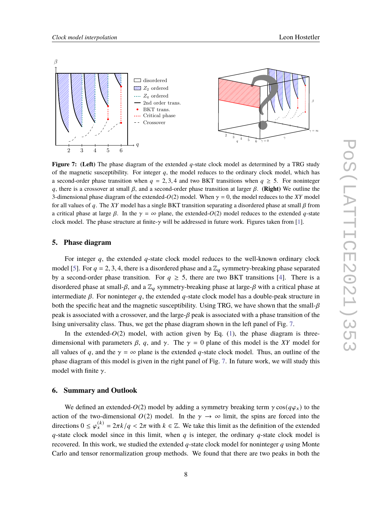<span id="page-7-0"></span>

**Figure 7:** (Left) The phase diagram of the extended q-state clock model as determined by a TRG study of the magnetic susceptibility. For integer  $q$ , the model reduces to the ordinary clock model, which has a second-order phase transition when  $q = 2, 3, 4$  and two BKT transitions when  $q \ge 5$ . For noninteger q, there is a crossover at small  $\beta$ , and a second-order phase transition at larger  $\beta$ . (Right) We outline the 3-dimensional phase diagram of the extended- $O(2)$  model. When  $\gamma = 0$ , the model reduces to the XY model for all values of q. The XY model has a single BKT transition separating a disordered phase at small  $\beta$  from a critical phase at large  $\beta$ . In the  $\gamma = \infty$  plane, the extended- $O(2)$  model reduces to the extended q-state clock model. The phase structure at finite- $\gamma$  will be addressed in future work. Figures taken from [\[1\]](#page-8-0).

## **5. Phase diagram**

For integer  $q$ , the extended  $q$ -state clock model reduces to the well-known ordinary clock model [\[5\]](#page-8-4). For  $q = 2, 3, 4$ , there is a disordered phase and a  $\mathbb{Z}_q$  symmetry-breaking phase separated by a second-order phase transition. For  $q \geq 5$ , there are two BKT transitions [\[4\]](#page-8-3). There is a disordered phase at small- $\beta$ , and a  $\mathbb{Z}_q$  symmetry-breaking phase at large- $\beta$  with a critical phase at intermediate  $\beta$ . For noninteger q, the extended q-state clock model has a double-peak structure in both the specific heat and the magnetic susceptibility. Using TRG, we have shown that the small- $\beta$ peak is associated with a crossover, and the large- $\beta$  peak is associated with a phase transition of the Ising universality class. Thus, we get the phase diagram shown in the left panel of Fig. [7.](#page-7-0)

In the extended- $O(2)$  model, with action given by Eq. [\(1\)](#page-1-0), the phase diagram is threedimensional with parameters  $\beta$ , q, and  $\gamma$ . The  $\gamma = 0$  plane of this model is the XY model for all values of q, and the  $\gamma = \infty$  plane is the extended q-state clock model. Thus, an outline of the phase diagram of this model is given in the right panel of Fig. [7.](#page-7-0) In future work, we will study this model with finite  $\gamma$ .

### **6. Summary and Outlook**

We defined an extended- $O(2)$  model by adding a symmetry breaking term  $\gamma \cos(q\varphi_x)$  to the action of the two-dimensional  $O(2)$  model. In the  $\gamma \to \infty$  limit, the spins are forced into the directions  $0 \le \varphi_x^{(k)} = 2\pi k/q < 2\pi$  with  $k \in \mathbb{Z}$ . We take this limit as the definition of the extended  $q$ -state clock model since in this limit, when  $q$  is integer, the ordinary  $q$ -state clock model is recovered. In this work, we studied the extended  $q$ -state clock model for noninteger  $q$  using Monte Carlo and tensor renormalization group methods. We found that there are two peaks in both the